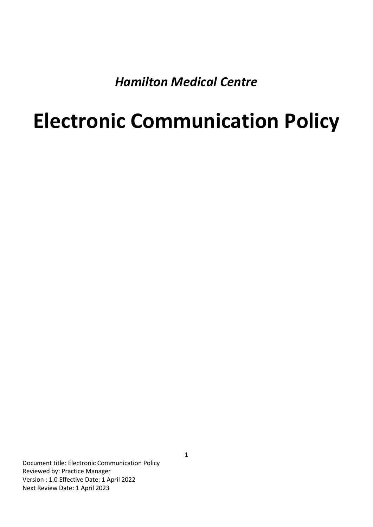*Hamilton Medical Centre*

## **Electronic Communication Policy**

Document title: Electronic Communication Policy Reviewed by: Practice Manager Version : 1.0 Effective Date: 1 April 2022 Next Review Date: 1 April 2023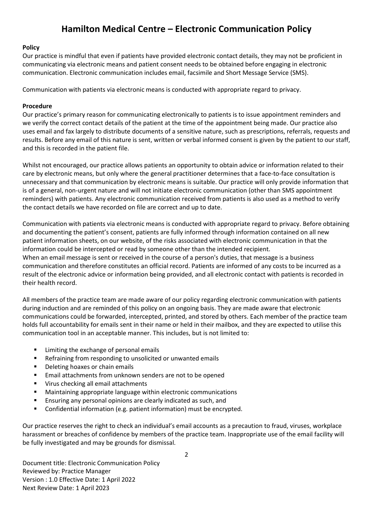## **Hamilton Medical Centre – Electronic Communication Policy**

## **Policy**

Our practice is mindful that even if patients have provided electronic contact details, they may not be proficient in communicating via electronic means and patient consent needs to be obtained before engaging in electronic communication. Electronic communication includes email, facsimile and Short Message Service (SMS).

Communication with patients via electronic means is conducted with appropriate regard to privacy.

## **Procedure**

Our practice's primary reason for communicating electronically to patients is to issue appointment reminders and we verify the correct contact details of the patient at the time of the appointment being made. Our practice also uses email and fax largely to distribute documents of a sensitive nature, such as prescriptions, referrals, requests and results. Before any email of this nature is sent, written or verbal informed consent is given by the patient to our staff, and this is recorded in the patient file.

Whilst not encouraged, our practice allows patients an opportunity to obtain advice or information related to their care by electronic means, but only where the general practitioner determines that a face-to-face consultation is unnecessary and that communication by electronic means is suitable. Our practice will only provide information that is of a general, non-urgent nature and will not initiate electronic communication (other than SMS appointment reminders) with patients. Any electronic communication received from patients is also used as a method to verify the contact details we have recorded on file are correct and up to date.

Communication with patients via electronic means is conducted with appropriate regard to privacy. Before obtaining and documenting the patient's consent, patients are fully informed through information contained on all new patient information sheets, on our website, of the risks associated with electronic communication in that the information could be intercepted or read by someone other than the intended recipient*.* When an email message is sent or received in the course of a person's duties, that message is a business communication and therefore constitutes an official record. Patients are informed of any costs to be incurred as a result of the electronic advice or information being provided, and all electronic contact with patients is recorded in their health record.

All members of the practice team are made aware of our policy regarding electronic communication with patients during induction and are reminded of this policy on an ongoing basis. They are made aware that electronic communications could be forwarded, intercepted, printed, and stored by others. Each member of the practice team holds full accountability for emails sent in their name or held in their mailbox, and they are expected to utilise this communication tool in an acceptable manner. This includes, but is not limited to:

- Limiting the exchange of personal emails
- Refraining from responding to unsolicited or unwanted emails
- Deleting hoaxes or chain emails
- Email attachments from unknown senders are not to be opened
- Virus checking all email attachments
- Maintaining appropriate language within electronic communications
- **Ensuring any personal opinions are clearly indicated as such, and**
- Confidential information (e.g. patient information) must be encrypted.

Our practice reserves the right to check an individual's email accounts as a precaution to fraud, viruses, workplace harassment or breaches of confidence by members of the practice team. Inappropriate use of the email facility will be fully investigated and may be grounds for dismissal.

Document title: Electronic Communication Policy Reviewed by: Practice Manager Version : 1.0 Effective Date: 1 April 2022 Next Review Date: 1 April 2023

2